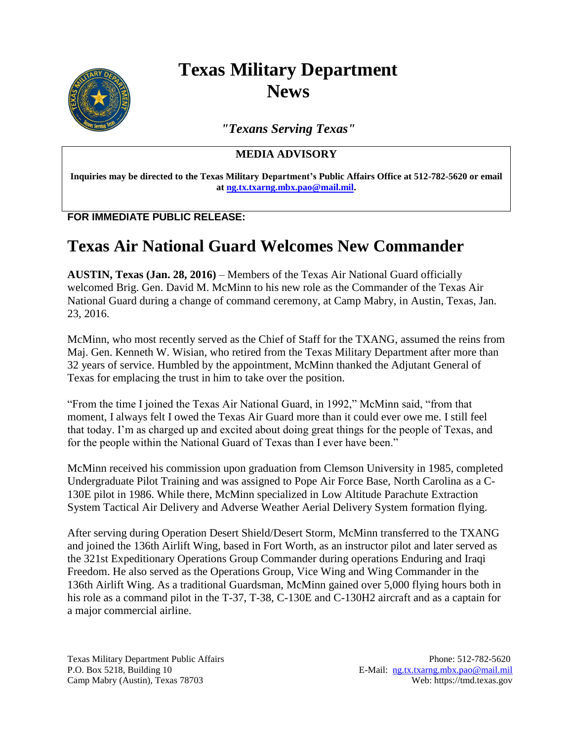

## **Texas Military Department News**

*"Texans Serving Texas"*

**MEDIA ADVISORY**

**Inquiries may be directed to the Texas Military Department's Public Affairs Office at 512-782-5620 or email at [ng.tx.txarng.mbx.pao@mail.mil.](mailto:ng.tx.txarng.mbx.pao@mail.mil)**

**FOR IMMEDIATE PUBLIC RELEASE:**

## **Texas Air National Guard Welcomes New Commander**

**AUSTIN, Texas (Jan. 28, 2016)** – Members of the Texas Air National Guard officially welcomed Brig. Gen. David M. McMinn to his new role as the Commander of the Texas Air National Guard during a change of command ceremony, at Camp Mabry, in Austin, Texas, Jan. 23, 2016.

McMinn, who most recently served as the Chief of Staff for the TXANG, assumed the reins from Maj. Gen. Kenneth W. Wisian, who retired from the Texas Military Department after more than 32 years of service. Humbled by the appointment, McMinn thanked the Adjutant General of Texas for emplacing the trust in him to take over the position.

"From the time I joined the Texas Air National Guard, in 1992," McMinn said, "from that moment, I always felt I owed the Texas Air Guard more than it could ever owe me. I still feel that today. I'm as charged up and excited about doing great things for the people of Texas, and for the people within the National Guard of Texas than I ever have been."

McMinn received his commission upon graduation from Clemson University in 1985, completed Undergraduate Pilot Training and was assigned to Pope Air Force Base, North Carolina as a C-130E pilot in 1986. While there, McMinn specialized in Low Altitude Parachute Extraction System Tactical Air Delivery and Adverse Weather Aerial Delivery System formation flying.

After serving during Operation Desert Shield/Desert Storm, McMinn transferred to the TXANG and joined the 136th Airlift Wing, based in Fort Worth, as an instructor pilot and later served as the 321st Expeditionary Operations Group Commander during operations Enduring and Iraqi Freedom. He also served as the Operations Group, Vice Wing and Wing Commander in the 136th Airlift Wing. As a traditional Guardsman, McMinn gained over 5,000 flying hours both in his role as a command pilot in the T-37, T-38, C-130E and C-130H2 aircraft and as a captain for a major commercial airline.

Texas Military Department Public Affairs Phone: 512-782-5620 P.O. Box 5218, Building 10 E-Mail: ng.tx.txarng.mbx.pao@mail.mil Camp Mabry (Austin), Texas 78703 Web: https://tmd.texas.gov